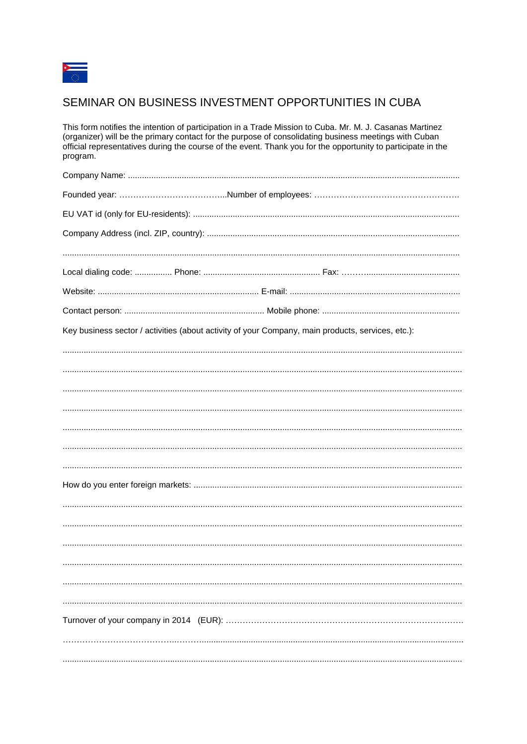

## SEMINAR ON BUSINESS INVESTMENT OPPORTUNITIES IN CUBA

This form notifies the intention of participation in a Trade Mission to Cuba. Mr. M. J. Casanas Martinez (organizer) will be the primary contact for the purpose of consolidating business meetings with Cuban official representatives during the course of the event. Thank you for the opportunity to participate in the program.

| Key business sector / activities (about activity of your Company, main products, services, etc.): |
|---------------------------------------------------------------------------------------------------|
|                                                                                                   |
|                                                                                                   |
|                                                                                                   |
|                                                                                                   |
|                                                                                                   |
|                                                                                                   |
|                                                                                                   |
|                                                                                                   |
|                                                                                                   |
|                                                                                                   |
|                                                                                                   |
|                                                                                                   |
|                                                                                                   |
|                                                                                                   |
|                                                                                                   |
|                                                                                                   |
|                                                                                                   |